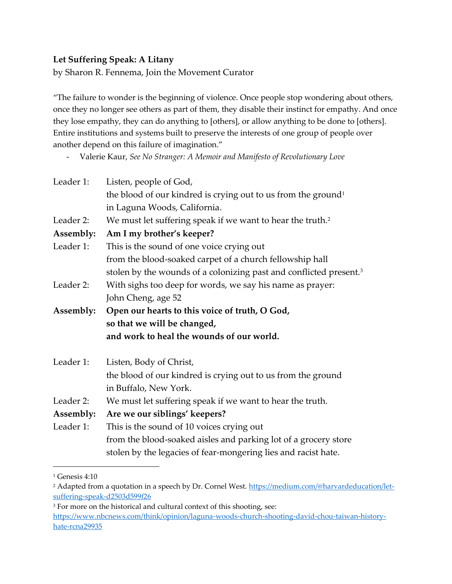## **Let Suffering Speak: A Litany**

by Sharon R. Fennema, Join the Movement Curator

"The failure to wonder is the beginning of violence. Once people stop wondering about others, once they no longer see others as part of them, they disable their instinct for empathy. And once they lose empathy, they can do anything to [others], or allow anything to be done to [others]. Entire institutions and systems built to preserve the interests of one group of people over another depend on this failure of imagination."

| Leader 1: | Listen, people of God,                                                         |
|-----------|--------------------------------------------------------------------------------|
|           | the blood of our kindred is crying out to us from the ground <sup>1</sup>      |
|           | in Laguna Woods, California.                                                   |
| Leader 2: | We must let suffering speak if we want to hear the truth. <sup>2</sup>         |
| Assembly: | Am I my brother's keeper?                                                      |
| Leader 1: | This is the sound of one voice crying out                                      |
|           | from the blood-soaked carpet of a church fellowship hall                       |
|           | stolen by the wounds of a colonizing past and conflicted present. <sup>3</sup> |
| Leader 2: | With sighs too deep for words, we say his name as prayer:                      |
|           | John Cheng, age 52                                                             |
| Assembly: | Open our hearts to this voice of truth, O God,                                 |
|           | so that we will be changed,                                                    |
|           | and work to heal the wounds of our world.                                      |
| Leader 1: | Listen, Body of Christ,                                                        |
|           | the blood of our kindred is crying out to us from the ground                   |
|           | in Buffalo, New York.                                                          |
| Leader 2: | We must let suffering speak if we want to hear the truth.                      |
| Assembly: | Are we our siblings' keepers?                                                  |
| Leader 1: | This is the sound of 10 voices crying out                                      |
|           | from the blood-soaked aisles and parking lot of a grocery store                |
|           | stolen by the legacies of fear-mongering lies and racist hate.                 |

<sup>-</sup> Valerie Kaur, *See No Stranger: A Memoir and Manifesto of Revolutionary Love*

<sup>1</sup> Genesis 4:10

<sup>&</sup>lt;sup>2</sup> Adapted from a quotation in a speech by Dr. Cornel West. [https://medium.com/@harvardeducation/let](https://medium.com/@harvardeducation/let-suffering-speak-d2503d599f26)[suffering-speak-d2503d599f26](https://medium.com/@harvardeducation/let-suffering-speak-d2503d599f26)

<sup>&</sup>lt;sup>3</sup> For more on the historical and cultural context of this shooting, see: [https://www.nbcnews.com/think/opinion/laguna-woods-church-shooting-david-chou-taiwan-history](https://www.nbcnews.com/think/opinion/laguna-woods-church-shooting-david-chou-taiwan-history-hate-rcna29935)[hate-rcna29935](https://www.nbcnews.com/think/opinion/laguna-woods-church-shooting-david-chou-taiwan-history-hate-rcna29935)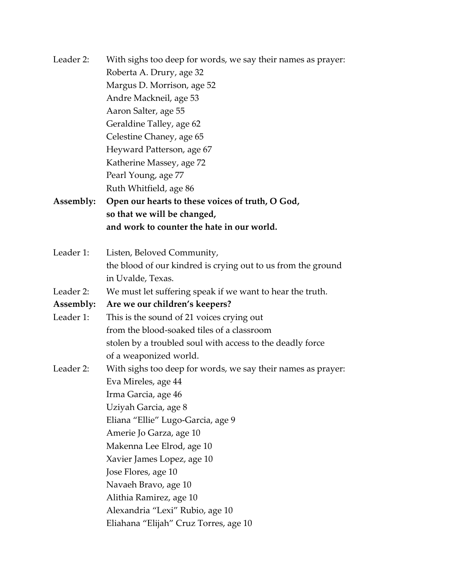Leader 2: With sighs too deep for words, we say their names as prayer: Roberta A. Drury, age 32 Margus D. Morrison, age 52 Andre Mackneil, age 53 Aaron Salter, age 55 Geraldine Talley, age 62 Celestine Chaney, age 65 Heyward Patterson, age 67 Katherine Massey, age 72 Pearl Young, age 77 Ruth Whitfield, age 86 **Assembly: Open our hearts to these voices of truth, O God, so that we will be changed, and work to counter the hate in our world.**  Leader 1: Listen, Beloved Community, the blood of our kindred is crying out to us from the ground in Uvalde, Texas. Leader 2: We must let suffering speak if we want to hear the truth. **Assembly: Are we our children's keepers?**  Leader 1: This is the sound of 21 voices crying out from the blood-soaked tiles of a classroom stolen by a troubled soul with access to the deadly force of a weaponized world. Leader 2: With sighs too deep for words, we say their names as prayer: Eva Mireles, age 44 Irma Garcia, age 46 Uziyah Garcia, age 8 Eliana "Ellie" Lugo-Garcia, age 9 Amerie Jo Garza, age 10 Makenna Lee Elrod, age 10 Xavier James Lopez, age 10 Jose Flores, age 10 Navaeh Bravo, age 10 Alithia Ramirez, age 10 Alexandria "Lexi" Rubio, age 10 Eliahana "Elijah" Cruz Torres, age 10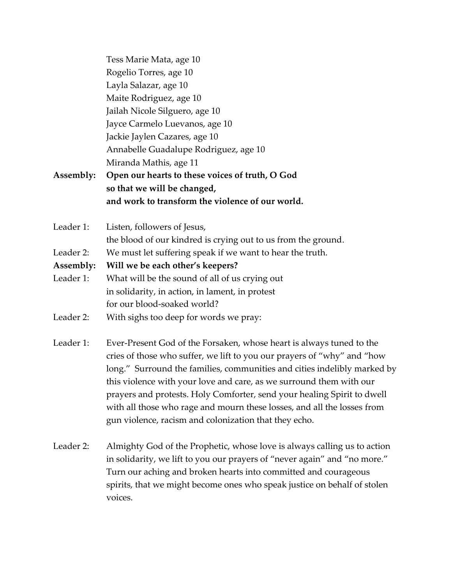|           | Tess Marie Mata, age 10                                       |
|-----------|---------------------------------------------------------------|
|           | Rogelio Torres, age 10                                        |
|           | Layla Salazar, age 10                                         |
|           | Maite Rodriguez, age 10                                       |
|           | Jailah Nicole Silguero, age 10                                |
|           | Jayce Carmelo Luevanos, age 10                                |
|           | Jackie Jaylen Cazares, age 10                                 |
|           | Annabelle Guadalupe Rodriguez, age 10                         |
|           | Miranda Mathis, age 11                                        |
| Assembly: | Open our hearts to these voices of truth, O God               |
|           | so that we will be changed,                                   |
|           | and work to transform the violence of our world.              |
| Leader 1: | Listen, followers of Jesus,                                   |
|           | the blood of our kindred is crying out to us from the ground. |
| Leader 2: | We must let suffering speak if we want to hear the truth.     |
| Assembly: | Will we be each other's keepers?                              |
| Leader 1: | What will be the sound of all of us crying out                |
|           | in solidarity, in action, in lament, in protest               |
|           | for our blood-soaked world?                                   |

- Leader 2: With sighs too deep for words we pray:
- Leader 1: Ever-Present God of the Forsaken, whose heart is always tuned to the cries of those who suffer, we lift to you our prayers of "why" and "how long." Surround the families, communities and cities indelibly marked by this violence with your love and care, as we surround them with our prayers and protests. Holy Comforter, send your healing Spirit to dwell with all those who rage and mourn these losses, and all the losses from gun violence, racism and colonization that they echo.
- Leader 2: Almighty God of the Prophetic, whose love is always calling us to action in solidarity, we lift to you our prayers of "never again" and "no more." Turn our aching and broken hearts into committed and courageous spirits, that we might become ones who speak justice on behalf of stolen voices.